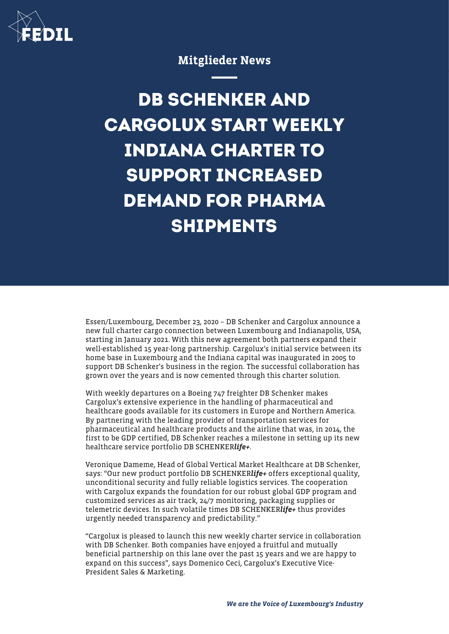

## Mitglieder News

**DB SCHENKER AND CARGOLUX START WEEKLY INDIANA CHARTER TO SUPPORT INCREASED DEMAND FOR PHARMA SHIPMENTS**

Essen/Luxembourg, December 23, 2020 – DB Schenker and Cargolux announce a new full charter cargo connection between Luxembourg and Indianapolis, USA, starting in January 2021. With this new agreement both partners expand their well-established 15 year-long partnership. Cargolux's initial service between its home base in Luxembourg and the Indiana capital was inaugurated in 2005 to support DB Schenker's business in the region. The successful collaboration has grown over the years and is now cemented through this charter solution.

With weekly departures on a Boeing 747 freighter DB Schenker makes Cargolux's extensive experience in the handling of pharmaceutical and healthcare goods available for its customers in Europe and Northern America. By partnering with the leading provider of transportation services for pharmaceutical and healthcare products and the airline that was, in 2014, the first to be GDP certified, DB Schenker reaches a milestone in setting up its new healthcare service portfolio DB SCHENKERlife+.

Veronique Dameme, Head of Global Vertical Market Healthcare at DB Schenker, says: "Our new product portfolio DB SCHENKERlife+ offers exceptional quality, unconditional security and fully reliable logistics services. The cooperation with Cargolux expands the foundation for our robust global GDP program and customized services as air track, 24/7 monitoring, packaging supplies or telemetric devices. In such volatile times DB SCHENKERlife+ thus provides urgently needed transparency and predictability."

"Cargolux is pleased to launch this new weekly charter service in collaboration with DB Schenker. Both companies have enjoyed a fruitful and mutually beneficial partnership on this lane over the past 15 years and we are happy to expand on this success", says Domenico Ceci, Cargolux's Executive Vice-President Sales & Marketing.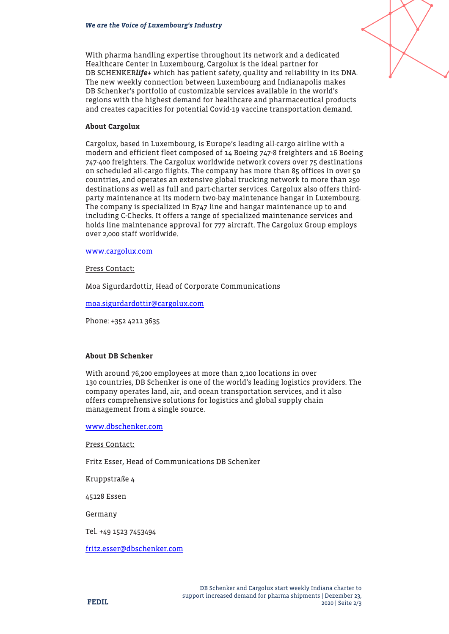

With pharma handling expertise throughout its network and a dedicated Healthcare Center in Luxembourg, Cargolux is the ideal partner for DB SCHENKERlife+ which has patient safety, quality and reliability in its DNA. The new weekly connection between Luxembourg and Indianapolis makes DB Schenker's portfolio of customizable services available in the world's regions with the highest demand for healthcare and pharmaceutical products and creates capacities for potential Covid-19 vaccine transportation demand.

## About Cargolux

Cargolux, based in Luxembourg, is Europe's leading all-cargo airline with a modern and efficient fleet composed of 14 Boeing 747-8 freighters and 16 Boeing 747-400 freighters. The Cargolux worldwide network covers over 75 destinations on scheduled all-cargo flights. The company has more than 85 offices in over 50 countries, and operates an extensive global trucking network to more than 250 destinations as well as full and part-charter services. Cargolux also offers thirdparty maintenance at its modern two-bay maintenance hangar in Luxembourg. The company is specialized in B747 line and hangar maintenance up to and including C-Checks. It offers a range of specialized maintenance services and holds line maintenance approval for 777 aircraft. The Cargolux Group employs over 2,000 staff worldwide.

## [www.cargolux.com](http://www.cargolux.com/)

Press Contact:

Moa Sigurdardottir, Head of Corporate Communications

[moa.sigurdardottir@cargolux.com](mailto:moa.sigurdardottir@cargolux.com)

Phone: +352 4211 3635

## About DB Schenker

With around 76,200 employees at more than 2,100 locations in over 130 countries, DB Schenker is one of the world's leading logistics providers. The company operates land, air, and ocean transportation services, and it also offers comprehensive solutions for logistics and global supply chain management from a single source.

[www.dbschenker.com](https://eur03.safelinks.protection.outlook.com/?url=http%3A%2F%2Fwww.dbschenker.com%2F&data=04%7C01%7CJane.Bretin%40cargolux.com%7C632a20943a4848590a2008d8a7428653%7C25d39a9f444146a3866d2fff6951bd08%7C0%7C0%7C637443251569927417%7CUnknown%7CTWFpbGZsb3d8eyJWIjoiMC4wLjAwMDAiLCJQIjoiV2luMzIiLCJBTiI6Ik1haWwiLCJXVCI6Mn0%3D%7C1000&sdata=Q1%2BSeDfzKIjc02pmF6ZPwLDCZoK5r7MwmRKRzFNccEM%3D&reserved=0)

Press Contact:

Fritz Esser, Head of Communications DB Schenker

Kruppstraße 4

45128 Essen

Germany

Tel. +49 1523 7453494

[fritz.esser@dbschenker.com](mailto:fritz.esser@dbschenker.com)